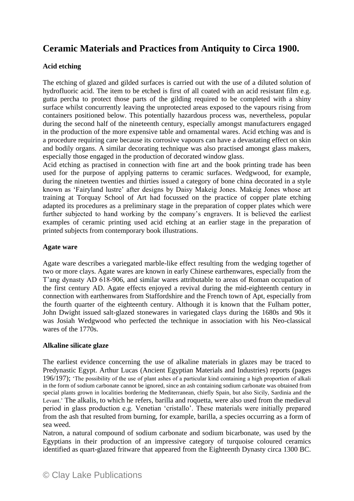# **Ceramic Materials and Practices from Antiquity to Circa 1900.**

## **Acid etching**

The etching of glazed and gilded surfaces is carried out with the use of a diluted solution of hydrofluoric acid. The item to be etched is first of all coated with an acid resistant film e.g. gutta percha to protect those parts of the gilding required to be completed with a shiny surface whilst concurrently leaving the unprotected areas exposed to the vapours rising from containers positioned below. This potentially hazardous process was, nevertheless, popular during the second half of the nineteenth century, especially amongst manufacturers engaged in the production of the more expensive table and ornamental wares. Acid etching was and is a procedure requiring care because its corrosive vapours can have a devastating effect on skin and bodily organs. A similar decorating technique was also practised amongst glass makers, especially those engaged in the production of decorated window glass.

Acid etching as practised in connection with fine art and the book printing trade has been used for the purpose of applying patterns to ceramic surfaces. Wedgwood, for example, during the nineteen twenties and thirties issued a category of bone china decorated in a style known as 'Fairyland lustre' after designs by Daisy Makeig Jones. Makeig Jones whose art training at Torquay School of Art had focussed on the practice of copper plate etching adapted its procedures as a preliminary stage in the preparation of copper plates which were further subjected to hand working by the company's engravers. It is believed the earliest examples of ceramic printing used acid etching at an earlier stage in the preparation of printed subjects from contemporary book illustrations.

## **Agate ware**

Agate ware describes a variegated marble-like effect resulting from the wedging together of two or more clays. Agate wares are known in early Chinese earthenwares, especially from the T'ang dynasty AD 618-906, and similar wares attributable to areas of Roman occupation of the first century AD. Agate effects enjoyed a revival during the mid-eighteenth century in connection with earthenwares from Staffordshire and the French town of Apt, especially from the fourth quarter of the eighteenth century. Although it is known that the Fulham potter, John Dwight issued salt-glazed stonewares in variegated clays during the 1680s and 90s it was Josiah Wedgwood who perfected the technique in association with his Neo-classical wares of the 1770s.

## **Alkaline silicate glaze**

The earliest evidence concerning the use of alkaline materials in glazes may be traced to Predynastic Egypt. Arthur Lucas (Ancient Egyptian Materials and Industries) reports (pages 196/197); 'The possibility of the use of plant ashes of a particular kind containing a high proportion of alkali in the form of sodium carbonate cannot be ignored, since an ash containing sodium carbonate was obtained from special plants grown in localities bordering the Mediterranean, chiefly Spain, but also Sicily, Sardinia and the Levant.' The alkalis, to which he refers, barilla and roquetta, were also used from the medieval period in glass production e.g. Venetian 'cristallo'. These materials were initially prepared from the ash that resulted from burning, for example, barilla, a species occurring as a form of sea weed.

Natron, a natural compound of sodium carbonate and sodium bicarbonate, was used by the Egyptians in their production of an impressive category of turquoise coloured ceramics identified as quart-glazed fritware that appeared from the Eighteenth Dynasty circa 1300 BC.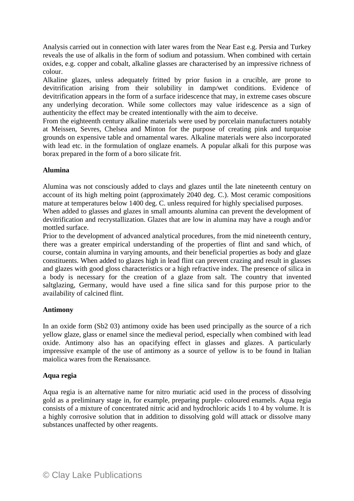Analysis carried out in connection with later wares from the Near East e.g. Persia and Turkey reveals the use of alkalis in the form of sodium and potassium. When combined with certain oxides, e.g. copper and cobalt, alkaline glasses are characterised by an impressive richness of colour.

Alkaline glazes, unless adequately fritted by prior fusion in a crucible, are prone to devitrification arising from their solubility in damp/wet conditions. Evidence of devitrification appears in the form of a surface iridescence that may, in extreme cases obscure any underlying decoration. While some collectors may value iridescence as a sign of authenticity the effect may be created intentionally with the aim to deceive.

From the eighteenth century alkaline materials were used by porcelain manufacturers notably at Meissen, Sevres, Chelsea and Minton for the purpose of creating pink and turquoise grounds on expensive table and ornamental wares. Alkaline materials were also incorporated with lead etc. in the formulation of onglaze enamels. A popular alkali for this purpose was borax prepared in the form of a boro silicate frit.

## **Alumina**

Alumina was not consciously added to clays and glazes until the late nineteenth century on account of its high melting point (approximately 2040 deg. C.). Most ceramic compositions mature at temperatures below 1400 deg. C. unless required for highly specialised purposes.

When added to glasses and glazes in small amounts alumina can prevent the development of devitrification and recrystallization. Glazes that are low in alumina may have a rough and/or mottled surface.

Prior to the development of advanced analytical procedures, from the mid nineteenth century, there was a greater empirical understanding of the properties of flint and sand which, of course, contain alumina in varying amounts, and their beneficial properties as body and glaze constituents. When added to glazes high in lead flint can prevent crazing and result in glasses and glazes with good gloss characteristics or a high refractive index. The presence of silica in a body is necessary for the creation of a glaze from salt. The country that invented saltglazing, Germany, would have used a fine silica sand for this purpose prior to the availability of calcined flint.

## **Antimony**

In an oxide form (Sb2 03) antimony oxide has been used principally as the source of a rich yellow glaze, glass or enamel since the medieval period, especially when combined with lead oxide. Antimony also has an opacifying effect in glasses and glazes. A particularly impressive example of the use of antimony as a source of yellow is to be found in Italian maiolica wares from the Renaissance.

## **Aqua regia**

Aqua regia is an alternative name for nitro muriatic acid used in the process of dissolving gold as a preliminary stage in, for example, preparing purple- coloured enamels. Aqua regia consists of a mixture of concentrated nitric acid and hydrochloric acids 1 to 4 by volume. It is a highly corrosive solution that in addition to dissolving gold will attack or dissolve many substances unaffected by other reagents.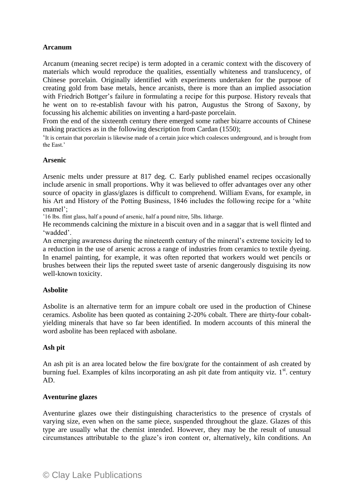## **Arcanum**

Arcanum (meaning secret recipe) is term adopted in a ceramic context with the discovery of materials which would reproduce the qualities, essentially whiteness and translucency, of Chinese porcelain. Originally identified with experiments undertaken for the purpose of creating gold from base metals, hence arcanists, there is more than an implied association with Friedrich Bottger's failure in formulating a recipe for this purpose. History reveals that he went on to re-establish favour with his patron, Augustus the Strong of Saxony, by focussing his alchemic abilities on inventing a hard-paste porcelain.

From the end of the sixteenth century there emerged some rather bizarre accounts of Chinese making practices as in the following description from Cardan (1550);

'It is certain that porcelain is likewise made of a certain juice which coalesces underground, and is brought from the East.'

#### **Arsenic**

Arsenic melts under pressure at 817 deg. C. Early published enamel recipes occasionally include arsenic in small proportions. Why it was believed to offer advantages over any other source of opacity in glass/glazes is difficult to comprehend. William Evans, for example, in his Art and History of the Potting Business, 1846 includes the following recipe for a 'white enamel';

'16 lbs. flint glass, half a pound of arsenic, half a pound nitre, 5lbs. litharge.

He recommends calcining the mixture in a biscuit oven and in a saggar that is well flinted and 'wadded'.

An emerging awareness during the nineteenth century of the mineral's extreme toxicity led to a reduction in the use of arsenic across a range of industries from ceramics to textile dyeing. In enamel painting, for example, it was often reported that workers would wet pencils or brushes between their lips the reputed sweet taste of arsenic dangerously disguising its now well-known toxicity.

#### **Asbolite**

Asbolite is an alternative term for an impure cobalt ore used in the production of Chinese ceramics. Asbolite has been quoted as containing 2-20% cobalt. There are thirty-four cobaltyielding minerals that have so far been identified. In modern accounts of this mineral the word asbolite has been replaced with asbolane.

#### **Ash pit**

An ash pit is an area located below the fire box/grate for the containment of ash created by burning fuel. Examples of kilns incorporating an ash pit date from antiquity viz.  $1<sup>st</sup>$ . century AD.

#### **Aventurine glazes**

Aventurine glazes owe their distinguishing characteristics to the presence of crystals of varying size, even when on the same piece, suspended throughout the glaze. Glazes of this type are usually what the chemist intended. However, they may be the result of unusual circumstances attributable to the glaze's iron content or, alternatively, kiln conditions. An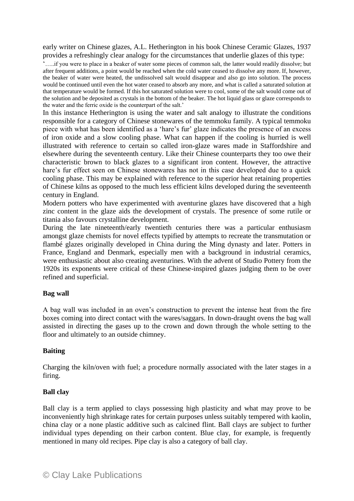early writer on Chinese glazes, A.L. Hetherington in his book Chinese Ceramic Glazes, 1937 provides a refreshingly clear analogy for the circumstances that underlie glazes of this type:

'…..if you were to place in a beaker of water some pieces of common salt, the latter would readily dissolve; but after frequent additions, a point would be reached when the cold water ceased to dissolve any more. If, however, the beaker of water were heated, the undissolved salt would disappear and also go into solution. The process would be continued until even the hot water ceased to absorb any more, and what is called a saturated solution at that temperature would be formed. If this hot saturated solution were to cool, some of the salt would come out of the solution and be deposited as crystals in the bottom of the beaker. The hot liquid glass or glaze corresponds to the water and the ferric oxide is the counterpart of the salt.'

In this instance Hetherington is using the water and salt analogy to illustrate the conditions responsible for a category of Chinese stonewares of the temmoku family. A typical temmoku piece with what has been identified as a 'hare's fur' glaze indicates the presence of an excess of iron oxide and a slow cooling phase. What can happen if the cooling is hurried is well illustrated with reference to certain so called iron-glaze wares made in Staffordshire and elsewhere during the seventeenth century. Like their Chinese counterparts they too owe their characteristic brown to black glazes to a significant iron content. However, the attractive hare's fur effect seen on Chinese stonewares has not in this case developed due to a quick cooling phase. This may be explained with reference to the superior heat retaining properties of Chinese kilns as opposed to the much less efficient kilns developed during the seventeenth century in England.

Modern potters who have experimented with aventurine glazes have discovered that a high zinc content in the glaze aids the development of crystals. The presence of some rutile or titania also favours crystalline development.

During the late nineteenth/early twentieth centuries there was a particular enthusiasm amongst glaze chemists for novel effects typified by attempts to recreate the transmutation or flambé glazes originally developed in China during the Ming dynasty and later. Potters in France, England and Denmark, especially men with a background in industrial ceramics, were enthusiastic about also creating aventurines. With the advent of Studio Pottery from the 1920s its exponents were critical of these Chinese-inspired glazes judging them to be over refined and superficial.

#### **Bag wall**

A bag wall was included in an oven's construction to prevent the intense heat from the fire boxes coming into direct contact with the wares/saggars. In down-draught ovens the bag wall assisted in directing the gases up to the crown and down through the whole setting to the floor and ultimately to an outside chimney.

## **Baiting**

Charging the kiln/oven with fuel; a procedure normally associated with the later stages in a firing.

#### **Ball clay**

Ball clay is a term applied to clays possessing high plasticity and what may prove to be inconveniently high shrinkage rates for certain purposes unless suitably tempered with kaolin, china clay or a none plastic additive such as calcined flint. Ball clays are subject to further individual types depending on their carbon content. Blue clay, for example, is frequently mentioned in many old recipes. Pipe clay is also a category of ball clay.